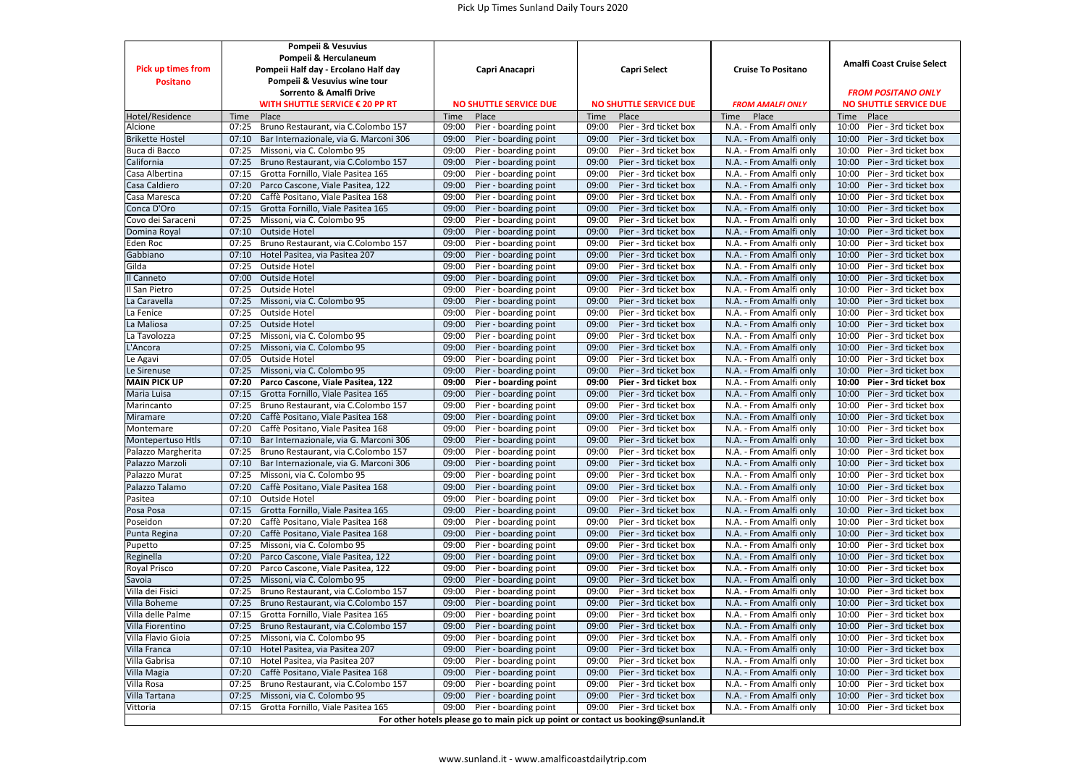## Pick Up Times Sunland Daily Tours 2020

|                           | Pompeii & Vesuvius                              |                                                                                   |                                |                           |                                |  |
|---------------------------|-------------------------------------------------|-----------------------------------------------------------------------------------|--------------------------------|---------------------------|--------------------------------|--|
|                           | Pompeii & Herculaneum                           |                                                                                   | Capri Select                   | <b>Cruise To Positano</b> | Amalfi Coast Cruise Select     |  |
| <b>Pick up times from</b> | Pompeii Half day - Ercolano Half day            | Capri Anacapri                                                                    |                                |                           |                                |  |
| <b>Positano</b>           | Pompeii & Vesuvius wine tour                    |                                                                                   |                                |                           |                                |  |
|                           | Sorrento & Amalfi Drive                         |                                                                                   |                                |                           | <b>FROM POSITANO ONLY</b>      |  |
|                           | WITH SHUTTLE SERVICE € 20 PP RT                 | <b>NO SHUTTLE SERVICE DUE</b>                                                     | <b>NO SHUTTLE SERVICE DUE</b>  | <b>FROM AMALFI ONLY</b>   | <b>NO SHUTTLE SERVICE DUE</b>  |  |
| Hotel/Residence           | Time<br>Place                                   | Time<br>Place                                                                     | Time<br>Place                  | Place<br>Time             | Time<br>Place                  |  |
| Alcione                   | 07:25<br>Bruno Restaurant, via C.Colombo 157    | 09:00<br>Pier - boarding point                                                    | 09:00<br>Pier - 3rd ticket box | N.A. - From Amalfi only   | 10:00<br>Pier - 3rd ticket box |  |
| <b>Brikette Hostel</b>    | Bar Internazionale, via G. Marconi 306<br>07:10 | 09:00<br>Pier - boarding point                                                    | 09:00<br>Pier - 3rd ticket box | N.A. - From Amalfi only   | 10:00<br>Pier - 3rd ticket box |  |
| Buca di Bacco             | 07:25<br>Missoni, via C. Colombo 95             | 09:00<br>Pier - boarding point                                                    | 09:00<br>Pier - 3rd ticket box | N.A. - From Amalfi only   | 10:00<br>Pier - 3rd ticket box |  |
| California                | 07:25<br>Bruno Restaurant, via C.Colombo 157    | 09:00<br>Pier - boarding point                                                    | 09:00<br>Pier - 3rd ticket box | N.A. - From Amalfi only   | 10:00<br>Pier - 3rd ticket box |  |
| Casa Albertina            | 07:15<br>Grotta Fornillo, Viale Pasitea 165     | 09:00<br>Pier - boarding point                                                    | 09:00<br>Pier - 3rd ticket box | N.A. - From Amalfi only   | 10:00<br>Pier - 3rd ticket box |  |
| Casa Caldiero             | 07:20<br>Parco Cascone, Viale Pasitea, 122      | 09:00<br>Pier - boarding point                                                    | 09:00<br>Pier - 3rd ticket box | N.A. - From Amalfi only   | 10:00<br>Pier - 3rd ticket box |  |
| Casa Maresca              | 07:20<br>Caffè Positano, Viale Pasitea 168      | 09:00<br>Pier - boarding point                                                    | 09:00<br>Pier - 3rd ticket box | N.A. - From Amalfi only   | 10:00<br>Pier - 3rd ticket box |  |
| Conca D'Oro               | 07:15<br>Grotta Fornillo, Viale Pasitea 165     | 09:00<br>Pier - boarding point                                                    | 09:00<br>Pier - 3rd ticket box | N.A. - From Amalfi only   | 10:00<br>Pier - 3rd ticket box |  |
| Covo dei Saraceni         | 07:25<br>Missoni, via C. Colombo 95             | 09:00<br>Pier - boarding point                                                    | 09:00<br>Pier - 3rd ticket box | N.A. - From Amalfi only   | 10:00<br>Pier - 3rd ticket box |  |
| Domina Royal              | 07:10<br>Outside Hotel                          | 09:00<br>Pier - boarding point                                                    | 09:00<br>Pier - 3rd ticket box | N.A. - From Amalfi only   | 10:00<br>Pier - 3rd ticket box |  |
| Eden Roc                  | 07:25<br>Bruno Restaurant, via C.Colombo 157    | 09:00<br>Pier - boarding point                                                    | 09:00<br>Pier - 3rd ticket box | N.A. - From Amalfi only   | 10:00<br>Pier - 3rd ticket box |  |
| Gabbiano                  | 07:10<br>Hotel Pasitea, via Pasitea 207         | 09:00<br>Pier - boarding point                                                    | 09:00<br>Pier - 3rd ticket box | N.A. - From Amalfi only   | 10:00<br>Pier - 3rd ticket box |  |
| Gilda                     | 07:25<br>Outside Hotel                          | 09:00<br>Pier - boarding point                                                    | 09:00<br>Pier - 3rd ticket box | N.A. - From Amalfi only   | 10:00<br>Pier - 3rd ticket box |  |
| Il Canneto                | 07:00<br>Outside Hotel                          | 09:00<br>Pier - boarding point                                                    | 09:00<br>Pier - 3rd ticket box | N.A. - From Amalfi only   | 10:00<br>Pier - 3rd ticket box |  |
| Il San Pietro             | 07:25<br>Outside Hotel                          | 09:00<br>Pier - boarding point                                                    | 09:00<br>Pier - 3rd ticket box | N.A. - From Amalfi only   | 10:00<br>Pier - 3rd ticket box |  |
| La Caravella              | 07:25<br>Missoni, via C. Colombo 95             | 09:00<br>Pier - boarding point                                                    | 09:00<br>Pier - 3rd ticket box | N.A. - From Amalfi only   | 10:00<br>Pier - 3rd ticket box |  |
| La Fenice                 | 07:25<br>Outside Hotel                          | 09:00<br>Pier - boarding point                                                    | 09:00<br>Pier - 3rd ticket box | N.A. - From Amalfi only   | 10:00<br>Pier - 3rd ticket box |  |
| La Maliosa                | 07:25<br>Outside Hotel                          | 09:00<br>Pier - boarding point                                                    | 09:00<br>Pier - 3rd ticket box | N.A. - From Amalfi only   | 10:00<br>Pier - 3rd ticket box |  |
| La Tavolozza              | 07:25<br>Missoni, via C. Colombo 95             | 09:00<br>Pier - boarding point                                                    | 09:00<br>Pier - 3rd ticket box | N.A. - From Amalfi only   | 10:00<br>Pier - 3rd ticket box |  |
| L'Ancora                  | 07:25<br>Missoni, via C. Colombo 95             | 09:00<br>Pier - boarding point                                                    | 09:00<br>Pier - 3rd ticket box | N.A. - From Amalfi only   | 10:00<br>Pier - 3rd ticket box |  |
| Le Agavi                  | 07:05<br>Outside Hotel                          | 09:00<br>Pier - boarding point                                                    | 09:00<br>Pier - 3rd ticket box | N.A. - From Amalfi only   | 10:00<br>Pier - 3rd ticket box |  |
| Le Sirenuse               | 07:25<br>Missoni, via C. Colombo 95             | 09:00<br>Pier - boarding point                                                    | 09:00<br>Pier - 3rd ticket box | N.A. - From Amalfi only   | 10:00<br>Pier - 3rd ticket box |  |
| <b>MAIN PICK UP</b>       | 07:20<br>Parco Cascone, Viale Pasitea, 122      | 09:00<br>Pier - boarding point                                                    | 09:00<br>Pier - 3rd ticket box | N.A. - From Amalfi only   | 10:00<br>Pier - 3rd ticket box |  |
| Maria Luisa               | 07:15<br>Grotta Fornillo, Viale Pasitea 165     | 09:00<br>Pier - boarding point                                                    | 09:00<br>Pier - 3rd ticket box | N.A. - From Amalfi only   | 10:00<br>Pier - 3rd ticket box |  |
| Marincanto                | 07:25<br>Bruno Restaurant, via C.Colombo 157    | 09:00<br>Pier - boarding point                                                    | 09:00<br>Pier - 3rd ticket box | N.A. - From Amalfi only   | 10:00<br>Pier - 3rd ticket box |  |
| Miramare                  | 07:20<br>Caffè Positano, Viale Pasitea 168      | 09:00<br>Pier - boarding point                                                    | 09:00<br>Pier - 3rd ticket box | N.A. - From Amalfi only   | 10:00<br>Pier - 3rd ticket box |  |
| Montemare                 | 07:20<br>Caffè Positano, Viale Pasitea 168      | 09:00<br>Pier - boarding point                                                    | 09:00<br>Pier - 3rd ticket box | N.A. - From Amalfi only   | 10:00<br>Pier - 3rd ticket box |  |
| Montepertuso Htls         | 07:10<br>Bar Internazionale, via G. Marconi 306 | 09:00<br>Pier - boarding point                                                    | 09:00<br>Pier - 3rd ticket box | N.A. - From Amalfi only   | 10:00<br>Pier - 3rd ticket box |  |
| Palazzo Margherita        | 07:25<br>Bruno Restaurant, via C.Colombo 157    | 09:00<br>Pier - boarding point                                                    | 09:00<br>Pier - 3rd ticket box | N.A. - From Amalfi only   | 10:00<br>Pier - 3rd ticket box |  |
| Palazzo Marzoli           | 07:10<br>Bar Internazionale, via G. Marconi 306 | 09:00<br>Pier - boarding point                                                    | 09:00<br>Pier - 3rd ticket box | N.A. - From Amalfi only   | 10:00<br>Pier - 3rd ticket box |  |
| Palazzo Murat             | 07:25<br>Missoni, via C. Colombo 95             | 09:00<br>Pier - boarding point                                                    | 09:00<br>Pier - 3rd ticket box | N.A. - From Amalfi only   | 10:00<br>Pier - 3rd ticket box |  |
| Palazzo Talamo            | 07:20<br>Caffè Positano, Viale Pasitea 168      | 09:00<br>Pier - boarding point                                                    | 09:00<br>Pier - 3rd ticket box | N.A. - From Amalfi only   | 10:00<br>Pier - 3rd ticket box |  |
| Pasitea                   | 07:10<br>Outside Hotel                          | 09:00<br>Pier - boarding point                                                    | 09:00<br>Pier - 3rd ticket box | N.A. - From Amalfi only   | 10:00<br>Pier - 3rd ticket box |  |
| Posa Posa                 | 07:15<br>Grotta Fornillo, Viale Pasitea 165     | 09:00<br>Pier - boarding point                                                    | 09:00<br>Pier - 3rd ticket box | N.A. - From Amalfi only   | 10:00<br>Pier - 3rd ticket box |  |
| Poseidon                  | 07:20<br>Caffè Positano, Viale Pasitea 168      | 09:00<br>Pier - boarding point                                                    | 09:00<br>Pier - 3rd ticket box | N.A. - From Amalfi only   | 10:00<br>Pier - 3rd ticket box |  |
| Punta Regina              | 07:20<br>Caffè Positano, Viale Pasitea 168      | 09:00<br>Pier - boarding point                                                    | 09:00<br>Pier - 3rd ticket box | N.A. - From Amalfi only   | 10:00<br>Pier - 3rd ticket box |  |
| Pupetto                   | 07:25<br>Missoni, via C. Colombo 95             | 09:00<br>Pier - boarding point                                                    | 09:00<br>Pier - 3rd ticket box | N.A. - From Amalfi only   | 10:00<br>Pier - 3rd ticket box |  |
| Reginella                 | 07:20<br>Parco Cascone, Viale Pasitea, 122      | 09:00<br>Pier - boarding point                                                    | 09:00<br>Pier - 3rd ticket box | N.A. - From Amalfi only   | 10:00<br>Pier - 3rd ticket box |  |
| Royal Prisco              | 07:20<br>Parco Cascone, Viale Pasitea, 122      | 09:00<br>Pier - boarding point                                                    | 09:00<br>Pier - 3rd ticket box | N.A. - From Amalfi only   | 10:00<br>Pier - 3rd ticket box |  |
| Savoia                    | 07:25<br>Missoni, via C. Colombo 95             | 09:00<br>Pier - boarding point                                                    | 09:00<br>Pier - 3rd ticket box | N.A. - From Amalfi only   | 10:00<br>Pier - 3rd ticket box |  |
| Villa dei Fisici          | 07:25<br>Bruno Restaurant, via C.Colombo 157    | 09:00<br>Pier - boarding point                                                    | 09:00<br>Pier - 3rd ticket box | N.A. - From Amalfi only   | 10:00<br>Pier - 3rd ticket box |  |
| Villa Boheme              | 07:25<br>Bruno Restaurant, via C.Colombo 157    | 09:00<br>Pier - boarding point                                                    | 09:00<br>Pier - 3rd ticket box | N.A. - From Amalfi only   | 10:00<br>Pier - 3rd ticket box |  |
| Villa delle Palme         | 07:15 Grotta Fornillo, Viale Pasitea 165        | 09:00<br>Pier - boarding point                                                    | 09:00<br>Pier - 3rd ticket box | N.A. - From Amalfi only   | 10:00<br>Pier - 3rd ticket box |  |
| Villa Fiorentino          | Bruno Restaurant, via C.Colombo 157<br>07:25    | 09:00 Pier - boarding point                                                       | Pier - 3rd ticket box<br>09:00 | N.A. - From Amalfi only   | 10:00 Pier - 3rd ticket box    |  |
| Villa Flavio Gioia        | Missoni, via C. Colombo 95<br>07:25             | Pier - boarding point<br>09:00                                                    | 09:00<br>Pier - 3rd ticket box | N.A. - From Amalfi only   | 10:00<br>Pier - 3rd ticket box |  |
| Villa Franca              | Hotel Pasitea, via Pasitea 207<br>07:10         | 09:00 Pier - boarding point                                                       | 09:00<br>Pier - 3rd ticket box | N.A. - From Amalfi only   | 10:00<br>Pier - 3rd ticket box |  |
| Villa Gabrisa             | 07:10<br>Hotel Pasitea, via Pasitea 207         | 09:00<br>Pier - boarding point                                                    | 09:00<br>Pier - 3rd ticket box | N.A. - From Amalfi only   | Pier - 3rd ticket box<br>10:00 |  |
| Villa Magia               | Caffè Positano, Viale Pasitea 168<br>07:20      | Pier - boarding point<br>09:00                                                    | 09:00<br>Pier - 3rd ticket box | N.A. - From Amalfi only   | 10:00<br>Pier - 3rd ticket box |  |
| Villa Rosa                | 07:25<br>Bruno Restaurant, via C.Colombo 157    | Pier - boarding point<br>09:00                                                    | 09:00<br>Pier - 3rd ticket box | N.A. - From Amalfi only   | 10:00<br>Pier - 3rd ticket box |  |
| Villa Tartana             | Missoni, via C. Colombo 95<br>07:25             | Pier - boarding point<br>09:00                                                    | 09:00<br>Pier - 3rd ticket box | N.A. - From Amalfi only   | 10:00<br>Pier - 3rd ticket box |  |
| Vittoria                  | 07:15 Grotta Fornillo, Viale Pasitea 165        | 09:00<br>Pier - boarding point                                                    | 09:00<br>Pier - 3rd ticket box | N.A. - From Amalfi only   | Pier - 3rd ticket box<br>10:00 |  |
|                           |                                                 | For other hotels please go to main pick up point or contact us booking@sunland.it |                                |                           |                                |  |

## www.sunland.it - www.amalficoastdailytrip.com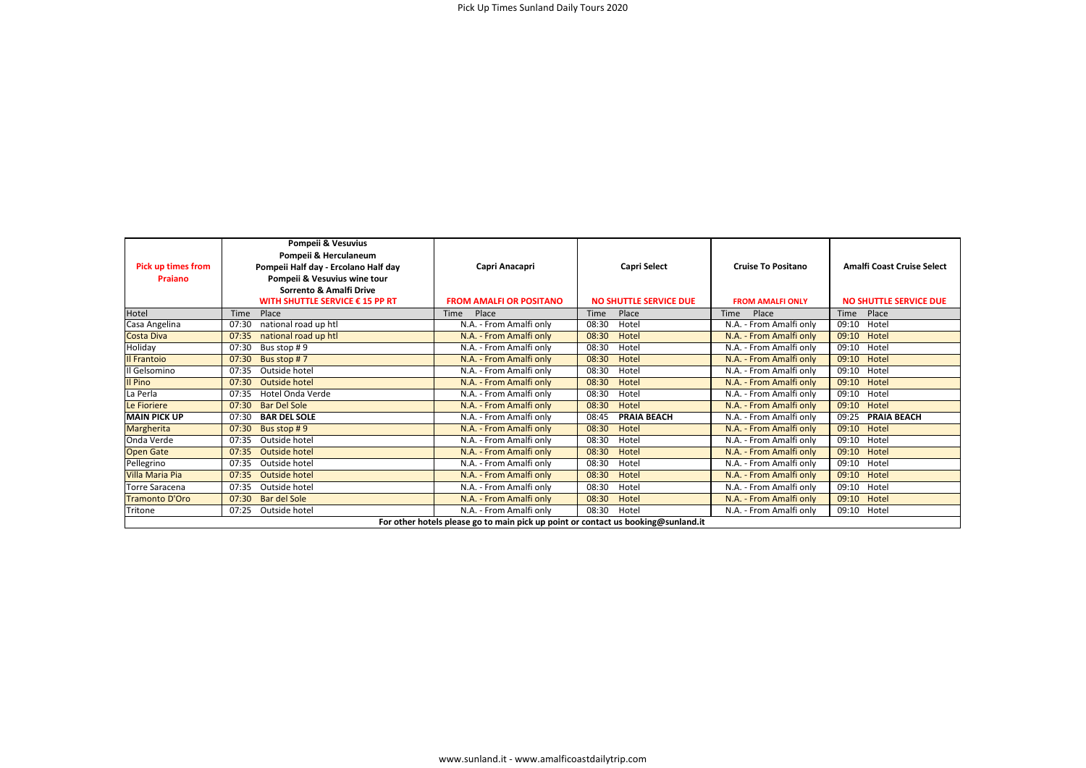| <b>Pick up times from</b><br>Praiano                                              | Pompeii & Vesuvius<br>Pompeii & Herculaneum<br>Pompeii Half day - Ercolano Half day<br>Pompeii & Vesuvius wine tour<br><b>Sorrento &amp; Amalfi Drive</b><br>WITH SHUTTLE SERVICE € 15 PP RT | Capri Anacapri<br><b>FROM AMALFI OR POSITANO</b> | <b>Capri Select</b><br><b>NO SHUTTLE SERVICE DUE</b> | <b>Cruise To Positano</b><br><b>FROM AMALFI ONLY</b> | <b>Amalfi Coast Cruise Select</b><br><b>NO SHUTTLE SERVICE DUE</b> |  |  |
|-----------------------------------------------------------------------------------|----------------------------------------------------------------------------------------------------------------------------------------------------------------------------------------------|--------------------------------------------------|------------------------------------------------------|------------------------------------------------------|--------------------------------------------------------------------|--|--|
| Hotel                                                                             | Place<br>Time                                                                                                                                                                                | Time<br>Place                                    | Place<br>Time                                        | Place<br><b>Time</b>                                 | Place<br><b>Time</b>                                               |  |  |
| Casa Angelina                                                                     | 07:30<br>national road up htl                                                                                                                                                                | N.A. - From Amalfi only                          | 08:30<br>Hotel                                       | N.A. - From Amalfi only                              | Hotel<br>09:10                                                     |  |  |
| Costa Diva                                                                        | national road up htl<br>07:35                                                                                                                                                                | N.A. - From Amalfi only                          | 08:30<br>Hotel                                       | N.A. - From Amalfi only                              | 09:10<br>Hotel                                                     |  |  |
| Holiday                                                                           | 07:30<br>Bus stop #9                                                                                                                                                                         | N.A. - From Amalfi only                          | 08:30<br>Hotel                                       | N.A. - From Amalfi only                              | Hotel<br>09:10                                                     |  |  |
| Il Frantoio                                                                       | 07:30<br>Bus stop #7                                                                                                                                                                         | N.A. - From Amalfi only                          | 08:30<br>Hotel                                       | N.A. - From Amalfi only                              | 09:10<br>Hotel                                                     |  |  |
| Il Gelsomino                                                                      | Outside hotel<br>07:35                                                                                                                                                                       | N.A. - From Amalfi only                          | 08:30<br>Hotel                                       | N.A. - From Amalfi only                              | Hotel<br>09:10                                                     |  |  |
| Il Pino                                                                           | Outside hotel<br>07:30                                                                                                                                                                       | N.A. - From Amalfi only                          | 08:30<br>Hotel                                       | N.A. - From Amalfi only                              | 09:10<br>Hotel                                                     |  |  |
| La Perla                                                                          | Hotel Onda Verde<br>07:35                                                                                                                                                                    | N.A. - From Amalfi only                          | 08:30<br>Hotel                                       | N.A. - From Amalfi only                              | Hotel<br>09:10                                                     |  |  |
| Le Fioriere                                                                       | <b>Bar Del Sole</b><br>07:30                                                                                                                                                                 | N.A. - From Amalfi only                          | 08:30<br>Hotel                                       | N.A. - From Amalfi only                              | 09:10<br>Hotel                                                     |  |  |
| <b>MAIN PICK UP</b>                                                               | <b>BAR DEL SOLE</b><br>07:30                                                                                                                                                                 | N.A. - From Amalfi only                          | <b>PRAIA BEACH</b><br>08:45                          | N.A. - From Amalfi only                              | 09:25<br><b>PRAIA BEACH</b>                                        |  |  |
| Margherita                                                                        | 07:30<br>Bus stop #9                                                                                                                                                                         | N.A. - From Amalfi only                          | 08:30<br>Hotel                                       | N.A. - From Amalfi only                              | 09:10<br>Hotel                                                     |  |  |
| Onda Verde                                                                        | Outside hotel<br>07:35                                                                                                                                                                       | N.A. - From Amalfi only                          | 08:30<br>Hotel                                       | N.A. - From Amalfi only                              | 09:10<br>Hotel                                                     |  |  |
| <b>Open Gate</b>                                                                  | Outside hotel<br>07:35                                                                                                                                                                       | N.A. - From Amalfi only                          | 08:30<br>Hotel                                       | N.A. - From Amalfi only                              | 09:10<br>Hotel                                                     |  |  |
| Pellegrino                                                                        | Outside hotel<br>07:35                                                                                                                                                                       | N.A. - From Amalfi only                          | 08:30<br>Hotel                                       | N.A. - From Amalfi only                              | Hotel<br>09:10                                                     |  |  |
| Villa Maria Pia                                                                   | Outside hotel<br>07:35                                                                                                                                                                       | N.A. - From Amalfi only                          | 08:30<br>Hotel                                       | N.A. - From Amalfi only                              | 09:10<br>Hotel                                                     |  |  |
| <b>Torre Saracena</b>                                                             | 07:35<br>Outside hotel                                                                                                                                                                       | N.A. - From Amalfi only                          | 08:30<br>Hotel                                       | N.A. - From Amalfi only                              | Hotel<br>09:10                                                     |  |  |
| <b>Tramonto D'Oro</b>                                                             | Bar del Sole<br>07:30                                                                                                                                                                        | N.A. - From Amalfi only                          | 08:30<br>Hotel                                       | N.A. - From Amalfi only                              | Hotel<br>09:10                                                     |  |  |
| Tritone                                                                           | Outside hotel<br>07:25                                                                                                                                                                       | N.A. - From Amalfi only                          | 08:30<br>Hotel                                       | N.A. - From Amalfi only                              | 09:10<br>Hotel                                                     |  |  |
| For other hotels please go to main pick up point or contact us booking@sunland.it |                                                                                                                                                                                              |                                                  |                                                      |                                                      |                                                                    |  |  |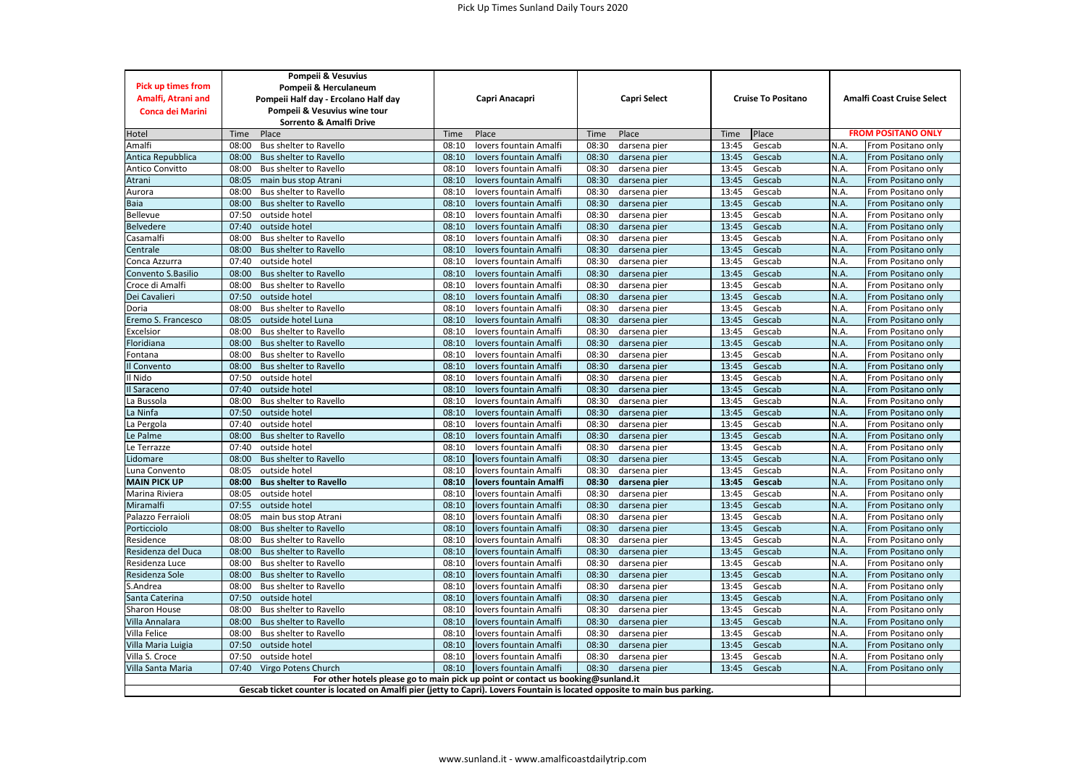| <b>Pick up times from</b><br>Amalfi, Atrani and<br><b>Conca dei Marini</b>                                                 | Pompeii & Vesuvius<br>Pompeii & Herculaneum<br>Pompeii Half day - Ercolano Half day<br>Pompeii & Vesuvius wine tour<br>Sorrento & Amalfi Drive |       | Capri Anacapri         |       | <b>Capri Select</b> |       | <b>Cruise To Positano</b> | <b>Amalfi Coast Cruise Select</b> |                    |
|----------------------------------------------------------------------------------------------------------------------------|------------------------------------------------------------------------------------------------------------------------------------------------|-------|------------------------|-------|---------------------|-------|---------------------------|-----------------------------------|--------------------|
| Hotel                                                                                                                      | Place<br>Time                                                                                                                                  | Time  | Place                  | Time  | Place               | Time  | Place                     | <b>FROM POSITANO ONLY</b>         |                    |
| Amalfi                                                                                                                     | 08:00<br>Bus shelter to Ravello                                                                                                                | 08:10 | lovers fountain Amalfi | 08:30 | darsena pier        | 13:45 | Gescab                    | N.A                               | From Positano only |
| Antica Repubblica                                                                                                          | <b>Bus shelter to Ravello</b><br>08:00                                                                                                         | 08:10 | lovers fountain Amalfi | 08:30 | darsena pier        | 13:45 | Gescab                    | N.A.                              | From Positano only |
| Antico Convitto                                                                                                            | 08:00<br>Bus shelter to Ravello                                                                                                                | 08:10 | lovers fountain Amalfi | 08:30 | darsena pier        | 13:45 | Gescab                    | N.A.                              | From Positano only |
| Atrani                                                                                                                     | 08:05<br>main bus stop Atrani                                                                                                                  | 08:10 | lovers fountain Amalfi | 08:30 | darsena pier        | 13:45 | Gescab                    | N.A.                              | From Positano only |
| Aurora                                                                                                                     | 08:00<br>Bus shelter to Ravello                                                                                                                | 08:10 | lovers fountain Amalfi | 08:30 | darsena pier        | 13:45 | Gescab                    | N.A.                              | From Positano only |
| Baia                                                                                                                       | 08:00<br>Bus shelter to Ravello                                                                                                                | 08:10 | lovers fountain Amalfi | 08:30 | darsena pier        | 13:45 | Gescab                    | N.A.                              | From Positano only |
| Bellevue                                                                                                                   | 07:50<br>outside hotel                                                                                                                         | 08:10 | lovers fountain Amalfi | 08:30 | darsena pier        | 13:45 | Gescab                    | N.A.                              | From Positano only |
| <b>Belvedere</b>                                                                                                           | outside hotel<br>07:40                                                                                                                         | 08:10 | lovers fountain Amalfi | 08:30 | darsena pier        | 13:45 | Gescab                    | N.A.                              | From Positano only |
| Casamalfi                                                                                                                  | 08:00<br>Bus shelter to Ravello                                                                                                                | 08:10 | lovers fountain Amalfi | 08:30 | darsena pier        | 13:45 | Gescab                    | N.A.                              | From Positano only |
| Centrale                                                                                                                   | 08:00<br>Bus shelter to Ravello                                                                                                                | 08:10 | lovers fountain Amalfi | 08:30 | darsena pier        | 13:45 | Gescab                    | N.A.                              | From Positano only |
| Conca Azzurra                                                                                                              | 07:40<br>outside hotel                                                                                                                         | 08:10 | lovers fountain Amalfi | 08:30 | darsena pier        | 13:45 | Gescab                    | N.A.                              | From Positano only |
| Convento S.Basilio                                                                                                         | 08:00<br><b>Bus shelter to Ravello</b>                                                                                                         | 08:10 | lovers fountain Amalfi | 08:30 | darsena pier        | 13:45 | Gescab                    | N.A.                              | From Positano only |
| Croce di Amalfi                                                                                                            | 08:00<br>Bus shelter to Ravello                                                                                                                | 08:10 | lovers fountain Amalfi | 08:30 | darsena pier        | 13:45 | Gescab                    | N.A.                              | From Positano only |
| Dei Cavalieri                                                                                                              | 07:50<br>outside hotel                                                                                                                         | 08:10 | lovers fountain Amalfi | 08:30 | darsena pier        | 13:45 | Gescab                    | N.A.                              | From Positano only |
| Doria                                                                                                                      | 08:00<br>Bus shelter to Ravello                                                                                                                | 08:10 | lovers fountain Amalfi | 08:30 | darsena pier        | 13:45 | Gescab                    | N.A.                              | From Positano only |
| Eremo S. Francesco                                                                                                         | 08:05<br>outside hotel Luna                                                                                                                    | 08:10 | lovers fountain Amalfi | 08:30 | darsena pier        | 13:45 | Gescab                    | N.A.                              | From Positano only |
| Excelsior                                                                                                                  | 08:00<br>Bus shelter to Ravello                                                                                                                | 08:10 | lovers fountain Amalfi | 08:30 | darsena pier        | 13:45 | Gescab                    | N.A.                              | From Positano only |
| Floridiana                                                                                                                 | 08:00<br>Bus shelter to Ravello                                                                                                                | 08:10 | lovers fountain Amalfi | 08:30 | darsena pier        | 13:45 | Gescab                    | N.A.                              | From Positano only |
| Fontana                                                                                                                    | 08:00<br>Bus shelter to Ravello                                                                                                                | 08:10 | lovers fountain Amalfi | 08:30 | darsena pier        | 13:45 | Gescab                    | N.A.                              | From Positano only |
| Il Convento                                                                                                                | 08:00<br>Bus shelter to Ravello                                                                                                                | 08:10 | lovers fountain Amalfi | 08:30 | darsena pier        | 13:45 | Gescab                    | N.A.                              | From Positano only |
| Il Nido                                                                                                                    | 07:50<br>outside hotel                                                                                                                         | 08:10 | lovers fountain Amalfi | 08:30 | darsena pier        | 13:45 | Gescab                    | N.A.                              | From Positano only |
| Il Saraceno                                                                                                                | 07:40<br>outside hotel                                                                                                                         | 08:10 | lovers fountain Amalfi | 08:30 | darsena pier        | 13:45 | Gescab                    | N.A.                              | From Positano only |
| La Bussola                                                                                                                 | 08:00<br>Bus shelter to Ravello                                                                                                                | 08:10 | lovers fountain Amalfi | 08:30 | darsena pier        | 13:45 | Gescab                    | N.A.                              | From Positano only |
| La Ninfa                                                                                                                   | 07:50<br>outside hotel                                                                                                                         | 08:10 | lovers fountain Amalfi | 08:30 | darsena pier        | 13:45 | Gescab                    | N.A.                              | From Positano only |
| La Pergola                                                                                                                 | 07:40<br>outside hotel                                                                                                                         | 08:10 | lovers fountain Amalfi | 08:30 | darsena pier        | 13:45 | Gescab                    | N.A.                              | From Positano only |
| Le Palme                                                                                                                   | 08:00<br>Bus shelter to Ravello                                                                                                                | 08:10 | lovers fountain Amalfi | 08:30 | darsena pier        | 13:45 | Gescab                    | N.A.                              | From Positano only |
| Le Terrazze                                                                                                                | 07:40<br>outside hotel                                                                                                                         | 08:10 | lovers fountain Amalfi | 08:30 | darsena pier        | 13:45 | Gescab                    | N.A.                              | From Positano only |
| Lidomare                                                                                                                   | 08:00<br>Bus shelter to Ravello                                                                                                                | 08:10 | lovers fountain Amalfi | 08:30 | darsena pier        | 13:45 | Gescab                    | N.A.                              | From Positano only |
| Luna Convento                                                                                                              | outside hotel<br>08:05                                                                                                                         | 08:10 | lovers fountain Amalfi | 08:30 | darsena pier        | 13:45 | Gescab                    | N.A.                              | From Positano only |
| <b>MAIN PICK UP</b>                                                                                                        | 08:00<br><b>Bus shelter to Ravello</b>                                                                                                         | 08:10 | lovers fountain Amalfi | 08:30 | darsena pier        | 13:45 | Gescab                    | N.A.                              | From Positano only |
| Marina Riviera                                                                                                             | 08:05<br>outside hotel                                                                                                                         | 08:10 | lovers fountain Amalfi | 08:30 | darsena pier        | 13:45 | Gescab                    | N.A.                              | From Positano only |
| Miramalfi                                                                                                                  | 07:55<br>outside hotel                                                                                                                         | 08:10 | lovers fountain Amalfi | 08:30 | darsena pier        | 13:45 | Gescab                    | N.A.                              | From Positano only |
| Palazzo Ferraioli                                                                                                          | 08:05<br>main bus stop Atrani                                                                                                                  | 08:10 | lovers fountain Amalfi | 08:30 | darsena pier        | 13:45 | Gescab                    | N.A.                              | From Positano only |
| Porticciolo                                                                                                                | 08:00<br><b>Bus shelter to Ravello</b>                                                                                                         | 08:10 | lovers fountain Amalfi | 08:30 | darsena pier        | 13:45 | Gescab                    | N.A.                              | From Positano only |
| Residence                                                                                                                  | 08:00<br>Bus shelter to Ravello                                                                                                                | 08:10 | lovers fountain Amalfi | 08:30 | darsena pier        | 13:45 | Gescab                    | N.A.                              | From Positano only |
| Residenza del Duca                                                                                                         | 08:00<br><b>Bus shelter to Ravello</b>                                                                                                         | 08:10 | lovers fountain Amalfi | 08:30 | darsena pier        | 13:45 | Gescab                    | N.A.                              | From Positano only |
| Residenza Luce                                                                                                             | 08:00<br>Bus shelter to Ravello                                                                                                                | 08:10 | lovers fountain Amalfi | 08:30 | darsena pier        | 13:45 | Gescab                    | N.A.                              | From Positano only |
| Residenza Sole                                                                                                             | 08:00<br><b>Bus shelter to Ravello</b>                                                                                                         | 08:10 | lovers fountain Amalfi | 08:30 | darsena pier        | 13:45 | Gescab                    | N.A.                              | From Positano only |
| S.Andrea                                                                                                                   | 08:00<br>Bus shelter to Ravello                                                                                                                | 08:10 | lovers fountain Amalfi | 08:30 | darsena pier        | 13:45 | Gescab                    | N.A.                              | From Positano only |
| Santa Caterina                                                                                                             | 07:50<br>outside hotel                                                                                                                         | 08:10 | lovers fountain Amalfi | 08:30 | darsena pier        | 13:45 | Gescab                    | N.A.                              | From Positano only |
| Sharon House                                                                                                               | Bus shelter to Ravello<br>08:00                                                                                                                | 08:10 | lovers fountain Amalfi | 08:30 | darsena pier        | 13:45 | Gescab                    | N.A.                              | From Positano only |
| Villa Annalara                                                                                                             | 08:00<br>Bus shelter to Ravello                                                                                                                | 08:10 | lovers fountain Amalfi | 08:30 | darsena pier        | 13:45 | Gescab                    | N.A.                              | From Positano only |
| Villa Felice                                                                                                               | 08:00<br>Bus shelter to Ravello                                                                                                                | 08:10 | lovers fountain Amalfi | 08:30 | darsena pier        | 13:45 | Gescab                    | N.A.                              | From Positano only |
| Villa Maria Luigia                                                                                                         | outside hotel<br>07:50                                                                                                                         | 08:10 | lovers fountain Amalfi | 08:30 | darsena pier        | 13:45 | Gescab                    | N.A.                              | From Positano only |
| Villa S. Croce                                                                                                             | 07:50<br>outside hotel                                                                                                                         | 08:10 | lovers fountain Amalfi | 08:30 | darsena pier        | 13:45 | Gescab                    | N.A.                              | From Positano only |
| Villa Santa Maria                                                                                                          | 07:40<br>Virgo Potens Church                                                                                                                   | 08:10 | lovers fountain Amalfi | 08:30 | darsena pier        | 13:45 | Gescab                    | N.A.                              | From Positano only |
|                                                                                                                            | For other hotels please go to main pick up point or contact us booking@sunland.it                                                              |       |                        |       |                     |       |                           |                                   |                    |
| Gescab ticket counter is located on Amalfi pier (jetty to Capri). Lovers Fountain is located opposite to main bus parking. |                                                                                                                                                |       |                        |       |                     |       |                           |                                   |                    |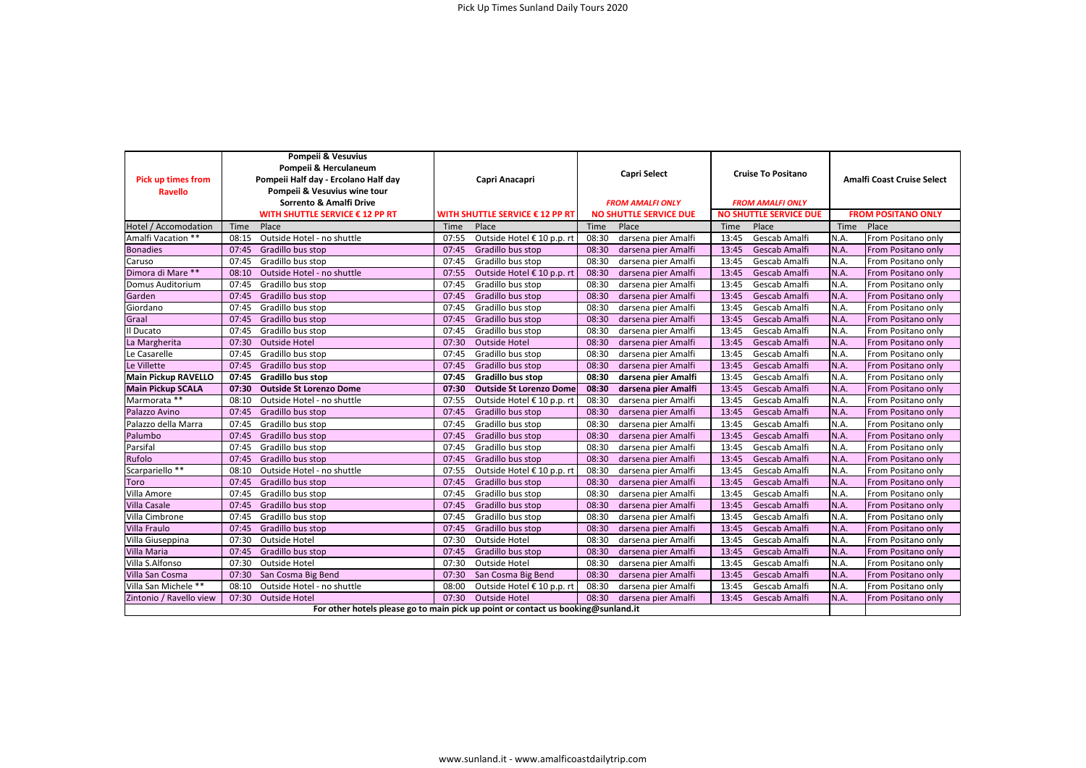| <b>Pick up times from</b><br><b>Ravello</b>                                       | Pompeii & Vesuvius<br>Pompeii & Herculaneum<br>Pompeii Half day - Ercolano Half day<br>Pompeii & Vesuvius wine tour<br>Sorrento & Amalfi Drive | Capri Anacapri                  | <b>Capri Select</b><br><b>FROM AMALFI ONLY</b> | <b>Cruise To Positano</b><br><b>FROM AMALFI ONLY</b> | <b>Amalfi Coast Cruise Select</b><br><b>FROM POSITANO ONLY</b> |  |
|-----------------------------------------------------------------------------------|------------------------------------------------------------------------------------------------------------------------------------------------|---------------------------------|------------------------------------------------|------------------------------------------------------|----------------------------------------------------------------|--|
|                                                                                   | WITH SHUTTLE SERVICE € 12 PP RT                                                                                                                | WITH SHUTTLE SERVICE € 12 PP RT | <b>NO SHUTTLE SERVICE DUE</b>                  | <b>NO SHUTTLE SERVICE DUE</b>                        |                                                                |  |
| Hotel / Accomodation                                                              | Place                                                                                                                                          | Place                           | Time                                           | Place                                                | Time                                                           |  |
|                                                                                   | Time                                                                                                                                           | Time                            | Place                                          | Time                                                 | Place                                                          |  |
| Amalfi Vacation **                                                                | Outside Hotel - no shuttle                                                                                                                     | 07:55                           | 08:30                                          | Gescab Amalfi                                        | From Positano only                                             |  |
|                                                                                   | 08:15                                                                                                                                          | Outside Hotel € 10 p.p. rt      | darsena pier Amalfi                            | 13:45                                                | N.A.                                                           |  |
| <b>Bonadies</b>                                                                   | 07:45                                                                                                                                          | 07:45                           | 08:30                                          | 13:45                                                | N.A.                                                           |  |
|                                                                                   | Gradillo bus stop                                                                                                                              | Gradillo bus stop               | darsena pier Amalfi                            | Gescab Amalfi                                        | From Positano only                                             |  |
| Caruso                                                                            | 07:45                                                                                                                                          | 07:45                           | 08:30                                          | 13:45                                                | N.A.                                                           |  |
|                                                                                   | Gradillo bus stop                                                                                                                              | Gradillo bus stop               | darsena pier Amalfi                            | Gescab Amalfi                                        | From Positano only                                             |  |
| Dimora di Mare **                                                                 | 08:10                                                                                                                                          | 07:55                           | 08:30                                          | 13:45                                                | N.A.                                                           |  |
|                                                                                   | Outside Hotel - no shuttle                                                                                                                     | Outside Hotel € 10 p.p. rt      | darsena pier Amalfi                            | Gescab Amalfi                                        | From Positano only                                             |  |
| Domus Auditorium                                                                  | 07:45                                                                                                                                          | 07:45                           | 08:30                                          | 13:45                                                | N.A.                                                           |  |
|                                                                                   | Gradillo bus stop                                                                                                                              | Gradillo bus stop               | darsena pier Amalfi                            | Gescab Amalfi                                        | From Positano only                                             |  |
| Garden                                                                            | 07:45                                                                                                                                          | 07:45                           | 08:30                                          | 13:45                                                | N.A.                                                           |  |
|                                                                                   | Gradillo bus stop                                                                                                                              | Gradillo bus stop               | darsena pier Amalfi                            | Gescab Amalfi                                        | From Positano only                                             |  |
| Giordano                                                                          | 07:45                                                                                                                                          | 07:45                           | 08:30                                          | 13:45                                                | N.A.                                                           |  |
|                                                                                   | Gradillo bus stop                                                                                                                              | Gradillo bus stop               | darsena pier Amalfi                            | Gescab Amalfi                                        | From Positano only                                             |  |
| Graal                                                                             | 07:45                                                                                                                                          | 07:45                           | 08:30                                          | 13:45                                                | N.A.                                                           |  |
|                                                                                   | Gradillo bus stop                                                                                                                              | Gradillo bus stop               | darsena pier Amalfi                            | Gescab Amalfi                                        | From Positano only                                             |  |
| Il Ducato                                                                         | 07:45                                                                                                                                          | 07:45                           | 08:30                                          | 13:45                                                | N.A.                                                           |  |
|                                                                                   | Gradillo bus stop                                                                                                                              | Gradillo bus stop               | darsena pier Amalfi                            | Gescab Amalfi                                        | From Positano only                                             |  |
| La Margherita                                                                     | 07:30                                                                                                                                          | 07:30                           | 08:30                                          | 13:45                                                | N.A.                                                           |  |
|                                                                                   | Outside Hotel                                                                                                                                  | <b>Outside Hotel</b>            | darsena pier Amalfi                            | Gescab Amalfi                                        | From Positano only                                             |  |
| Le Casarelle                                                                      | 07:45                                                                                                                                          | 07:45                           | 08:30                                          | 13:45                                                | N.A.                                                           |  |
|                                                                                   | Gradillo bus stop                                                                                                                              | Gradillo bus stop               | darsena pier Amalfi                            | Gescab Amalfi                                        | From Positano only                                             |  |
| Le Villette                                                                       | 07:45                                                                                                                                          | 07:45                           | 08:30                                          | 13:45                                                | N.A.                                                           |  |
|                                                                                   | Gradillo bus stop                                                                                                                              | Gradillo bus stop               | darsena pier Amalfi                            | Gescab Amalfi                                        | From Positano only                                             |  |
| <b>Main Pickup RAVELLO</b>                                                        | 07:45                                                                                                                                          | 07:45                           | 08:30                                          | 13:45                                                | N.A.                                                           |  |
|                                                                                   | Gradillo bus stop                                                                                                                              | <b>Gradillo bus stop</b>        | darsena pier Amalfi                            | Gescab Amalfi                                        | From Positano only                                             |  |
| <b>Main Pickup SCALA</b>                                                          | 07:30                                                                                                                                          | 07:30                           | 08:30                                          | 13:45                                                | N.A.                                                           |  |
|                                                                                   | <b>Outside St Lorenzo Dome</b>                                                                                                                 | <b>Outside St Lorenzo Dome</b>  | darsena pier Amalfi                            | Gescab Amalfi                                        | From Positano only                                             |  |
| Marmorata **                                                                      | 08:10                                                                                                                                          | 07:55                           | 08:30                                          | 13:45                                                | N.A.                                                           |  |
|                                                                                   | Outside Hotel - no shuttle                                                                                                                     | Outside Hotel € 10 p.p. rt      | darsena pier Amalfi                            | Gescab Amalfi                                        | From Positano only                                             |  |
| Palazzo Avino                                                                     | 07:45                                                                                                                                          | 07:45                           | 08:30                                          | 13:45                                                | N.A.                                                           |  |
|                                                                                   | Gradillo bus stop                                                                                                                              | Gradillo bus stop               | darsena pier Amalfi                            | Gescab Amalfi                                        | From Positano only                                             |  |
| Palazzo della Marra                                                               | 07:45                                                                                                                                          | 07:45                           | 08:30                                          | 13:45                                                | N.A.                                                           |  |
|                                                                                   | Gradillo bus stop                                                                                                                              | Gradillo bus stop               | darsena pier Amalfi                            | Gescab Amalfi                                        | From Positano only                                             |  |
| Palumbo                                                                           | 07:45                                                                                                                                          | 07:45                           | 08:30                                          | 13:45                                                | N.A.                                                           |  |
|                                                                                   | Gradillo bus stop                                                                                                                              | Gradillo bus stop               | darsena pier Amalfi                            | Gescab Amalfi                                        | From Positano only                                             |  |
| Parsifal                                                                          | 07:45                                                                                                                                          | 07:45                           | 08:30                                          | 13:45                                                | N.A.                                                           |  |
|                                                                                   | Gradillo bus stop                                                                                                                              | Gradillo bus stop               | darsena pier Amalfi                            | Gescab Amalfi                                        | From Positano only                                             |  |
| Rufolo                                                                            | 07:45                                                                                                                                          | 07:45                           | 08:30                                          | 13:45                                                | N.A.                                                           |  |
|                                                                                   | Gradillo bus stop                                                                                                                              | Gradillo bus stop               | darsena pier Amalfi                            | Gescab Amalfi                                        | From Positano only                                             |  |
| Scarpariello **                                                                   | 08:10                                                                                                                                          | 07:55                           | 08:30                                          | 13:45                                                | N.A.                                                           |  |
|                                                                                   | Outside Hotel - no shuttle                                                                                                                     | Outside Hotel € 10 p.p. rt      | darsena pier Amalfi                            | Gescab Amalfi                                        | From Positano only                                             |  |
| Toro                                                                              | 07:45                                                                                                                                          | 07:45                           | 08:30                                          | 13:45                                                | N.A.                                                           |  |
|                                                                                   | Gradillo bus stop                                                                                                                              | Gradillo bus stop               | darsena pier Amalfi                            | Gescab Amalfi                                        | From Positano only                                             |  |
| Villa Amore                                                                       | 07:45                                                                                                                                          | 07:45                           | 08:30                                          | 13:45                                                | N.A.                                                           |  |
|                                                                                   | Gradillo bus stop                                                                                                                              | Gradillo bus stop               | darsena pier Amalfi                            | Gescab Amalfi                                        | From Positano only                                             |  |
| <b>Villa Casale</b>                                                               | 07:45                                                                                                                                          | 07:45                           | 08:30                                          | 13:45                                                | N.A.                                                           |  |
|                                                                                   | Gradillo bus stop                                                                                                                              | Gradillo bus stop               | darsena pier Amalfi                            | Gescab Amalfi                                        | From Positano only                                             |  |
| Villa Cimbrone                                                                    | 07:45                                                                                                                                          | 07:45                           | 08:30                                          | 13:45                                                | N.A.                                                           |  |
|                                                                                   | Gradillo bus stop                                                                                                                              | Gradillo bus stop               | darsena pier Amalfi                            | Gescab Amalfi                                        | From Positano only                                             |  |
| <b>Villa Fraulo</b>                                                               | 07:45                                                                                                                                          | 07:45                           | 08:30                                          | 13:45                                                | N.A.                                                           |  |
|                                                                                   | Gradillo bus stop                                                                                                                              | Gradillo bus stop               | darsena pier Amalfi                            | Gescab Amalfi                                        | From Positano only                                             |  |
| Villa Giuseppina                                                                  | 07:30                                                                                                                                          | 07:30                           | 08:30                                          | 13:45                                                | N.A.                                                           |  |
|                                                                                   | Outside Hotel                                                                                                                                  | <b>Outside Hotel</b>            | darsena pier Amalfi                            | Gescab Amalfi                                        | From Positano only                                             |  |
| Villa Maria                                                                       | 07:45                                                                                                                                          | 07:45                           | 08:30                                          | 13:45                                                | N.A.                                                           |  |
|                                                                                   | Gradillo bus stop                                                                                                                              | Gradillo bus stop               | darsena pier Amalfi                            | Gescab Amalfi                                        | From Positano only                                             |  |
| Villa S.Alfonso                                                                   | 07:30                                                                                                                                          | 07:30                           | 08:30                                          | 13:45                                                | N.A.                                                           |  |
|                                                                                   | Outside Hotel                                                                                                                                  | <b>Outside Hotel</b>            | darsena pier Amalfi                            | Gescab Amalfi                                        | From Positano only                                             |  |
| Villa San Cosma                                                                   | San Cosma Big Bend                                                                                                                             | 07:30                           | 08:30                                          | 13:45                                                | N.A.                                                           |  |
|                                                                                   | 07:30                                                                                                                                          | San Cosma Big Bend              | darsena pier Amalfi                            | Gescab Amalfi                                        | From Positano only                                             |  |
| Villa San Michele **                                                              | 08:10                                                                                                                                          | 08:00                           | 08:30                                          | 13:45                                                | N.A.                                                           |  |
|                                                                                   | Outside Hotel - no shuttle                                                                                                                     | Outside Hotel € 10 p.p. rt      | darsena pier Amalfi                            | Gescab Amalfi                                        | From Positano only                                             |  |
| Zintonio / Ravello view                                                           | 07:30                                                                                                                                          | 07:30                           | 08:30                                          | 13:45                                                | N.A.                                                           |  |
|                                                                                   | Outside Hotel                                                                                                                                  | Outside Hotel                   | darsena pier Amalfi                            | Gescab Amalfi                                        | From Positano only                                             |  |
| For other hotels please go to main pick up point or contact us booking@sunland.it |                                                                                                                                                |                                 |                                                |                                                      |                                                                |  |